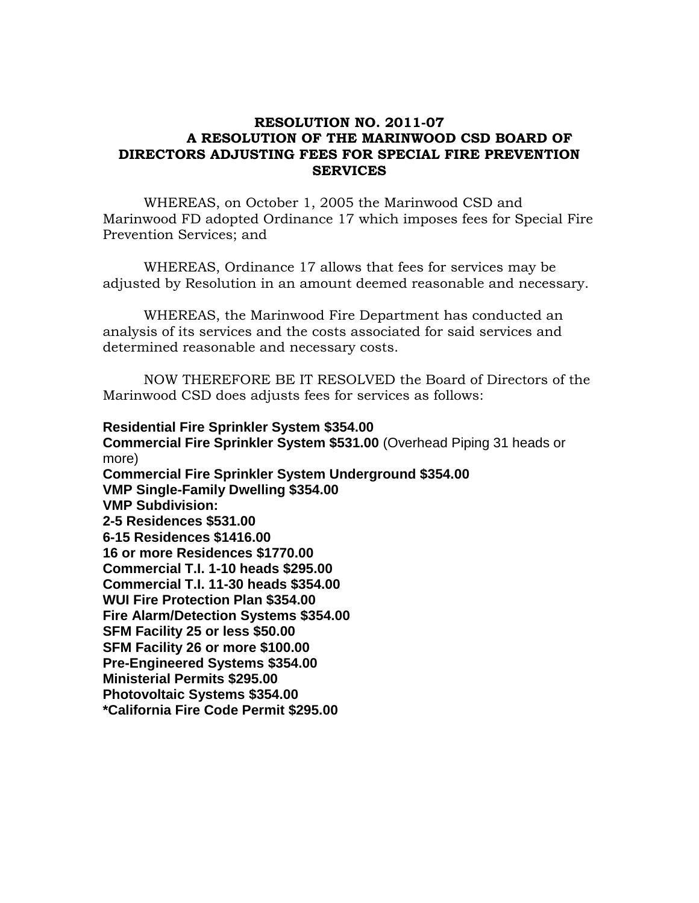## **RESOLUTION NO. 2011-07 A RESOLUTION OF THE MARINWOOD CSD BOARD OF DIRECTORS ADJUSTING FEES FOR SPECIAL FIRE PREVENTION SERVICES**

WHEREAS, on October 1, 2005 the Marinwood CSD and Marinwood FD adopted Ordinance 17 which imposes fees for Special Fire Prevention Services; and

WHEREAS, Ordinance 17 allows that fees for services may be adjusted by Resolution in an amount deemed reasonable and necessary.

WHEREAS, the Marinwood Fire Department has conducted an analysis of its services and the costs associated for said services and determined reasonable and necessary costs.

NOW THEREFORE BE IT RESOLVED the Board of Directors of the Marinwood CSD does adjusts fees for services as follows:

**Residential Fire Sprinkler System \$354.00 Commercial Fire Sprinkler System \$531.00** (Overhead Piping 31 heads or more) **Commercial Fire Sprinkler System Underground \$354.00 VMP Single-Family Dwelling \$354.00 VMP Subdivision: 2-5 Residences \$531.00 6-15 Residences \$1416.00 16 or more Residences \$1770.00 Commercial T.I. 1-10 heads \$295.00 Commercial T.I. 11-30 heads \$354.00 WUI Fire Protection Plan \$354.00 Fire Alarm/Detection Systems \$354.00 SFM Facility 25 or less \$50.00 SFM Facility 26 or more \$100.00 Pre-Engineered Systems \$354.00 Ministerial Permits \$295.00 Photovoltaic Systems \$354.00 \*California Fire Code Permit \$295.00**